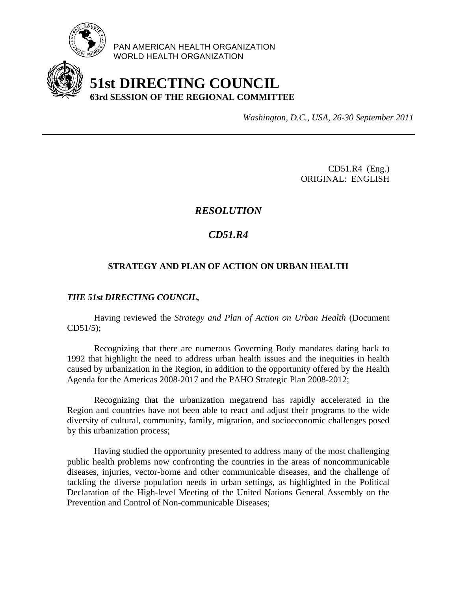

PAN AMERICAN HEALTH ORGANIZATION WORLD HEALTH ORGANIZATION

# **51st DIRECTING COUNCIL 63rd SESSION OF THE REGIONAL COMMITTEE**

*Washington, D.C., USA, 26-30 September 2011*

CD51.R4 (Eng.) ORIGINAL: ENGLISH

### *RESOLUTION*

## *CD51.R4*

#### **STRATEGY AND PLAN OF ACTION ON URBAN HEALTH**

#### *THE 51st DIRECTING COUNCIL,*

Having reviewed the *Strategy and Plan of Action on Urban Health* (Document CD51/5);

 Recognizing that there are numerous Governing Body mandates dating back to 1992 that highlight the need to address urban health issues and the inequities in health caused by urbanization in the Region, in addition to the opportunity offered by the Health Agenda for the Americas 2008-2017 and the PAHO Strategic Plan 2008-2012;

Recognizing that the urbanization megatrend has rapidly accelerated in the Region and countries have not been able to react and adjust their programs to the wide diversity of cultural, community, family, migration, and socioeconomic challenges posed by this urbanization process;

Having studied the opportunity presented to address many of the most challenging public health problems now confronting the countries in the areas of noncommunicable diseases, injuries, vector-borne and other communicable diseases, and the challenge of tackling the diverse population needs in urban settings, as highlighted in the Political Declaration of the High-level Meeting of the United Nations General Assembly on the Prevention and Control of Non-communicable Diseases;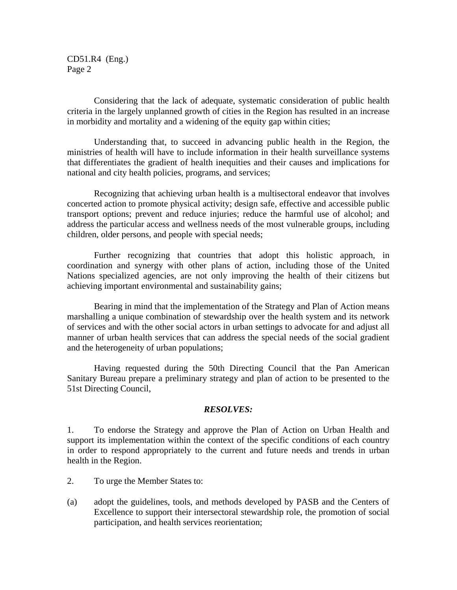CD51.R4 (Eng.) Page 2

Considering that the lack of adequate, systematic consideration of public health criteria in the largely unplanned growth of cities in the Region has resulted in an increase in morbidity and mortality and a widening of the equity gap within cities;

Understanding that, to succeed in advancing public health in the Region, the ministries of health will have to include information in their health surveillance systems that differentiates the gradient of health inequities and their causes and implications for national and city health policies, programs, and services;

Recognizing that achieving urban health is a multisectoral endeavor that involves concerted action to promote physical activity; design safe, effective and accessible public transport options; prevent and reduce injuries; reduce the harmful use of alcohol; and address the particular access and wellness needs of the most vulnerable groups, including children, older persons, and people with special needs;

Further recognizing that countries that adopt this holistic approach, in coordination and synergy with other plans of action, including those of the United Nations specialized agencies, are not only improving the health of their citizens but achieving important environmental and sustainability gains;

Bearing in mind that the implementation of the Strategy and Plan of Action means marshalling a unique combination of stewardship over the health system and its network of services and with the other social actors in urban settings to advocate for and adjust all manner of urban health services that can address the special needs of the social gradient and the heterogeneity of urban populations;

Having requested during the 50th Directing Council that the Pan American Sanitary Bureau prepare a preliminary strategy and plan of action to be presented to the 51st Directing Council,

#### *RESOLVES:*

1. To endorse the Strategy and approve the Plan of Action on Urban Health and support its implementation within the context of the specific conditions of each country in order to respond appropriately to the current and future needs and trends in urban health in the Region.

- 2. To urge the Member States to:
- (a) adopt the guidelines, tools, and methods developed by PASB and the Centers of Excellence to support their intersectoral stewardship role, the promotion of social participation, and health services reorientation;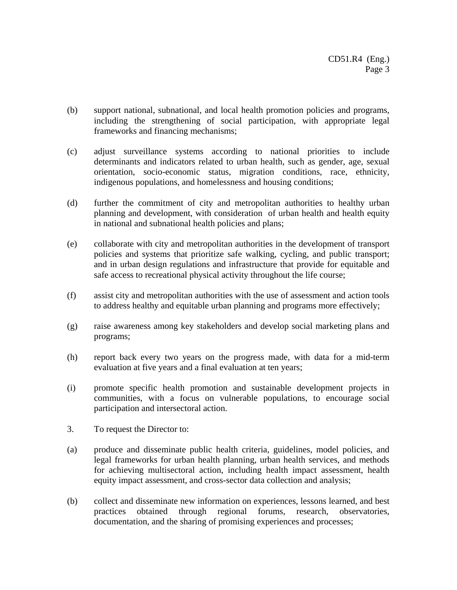- (b) support national, subnational, and local health promotion policies and programs, including the strengthening of social participation, with appropriate legal frameworks and financing mechanisms;
- (c) adjust surveillance systems according to national priorities to include determinants and indicators related to urban health, such as gender, age, sexual orientation, socio-economic status, migration conditions, race, ethnicity, indigenous populations, and homelessness and housing conditions;
- (d) further the commitment of city and metropolitan authorities to healthy urban planning and development, with consideration of urban health and health equity in national and subnational health policies and plans;
- (e) collaborate with city and metropolitan authorities in the development of transport policies and systems that prioritize safe walking, cycling, and public transport; and in urban design regulations and infrastructure that provide for equitable and safe access to recreational physical activity throughout the life course;
- (f) assist city and metropolitan authorities with the use of assessment and action tools to address healthy and equitable urban planning and programs more effectively;
- (g) raise awareness among key stakeholders and develop social marketing plans and programs;
- (h) report back every two years on the progress made, with data for a mid-term evaluation at five years and a final evaluation at ten years;
- (i) promote specific health promotion and sustainable development projects in communities, with a focus on vulnerable populations, to encourage social participation and intersectoral action.
- 3. To request the Director to:
- (a) produce and disseminate public health criteria, guidelines, model policies, and legal frameworks for urban health planning, urban health services, and methods for achieving multisectoral action, including health impact assessment, health equity impact assessment, and cross-sector data collection and analysis;
- (b) collect and disseminate new information on experiences, lessons learned, and best practices obtained through regional forums, research, observatories, documentation, and the sharing of promising experiences and processes;